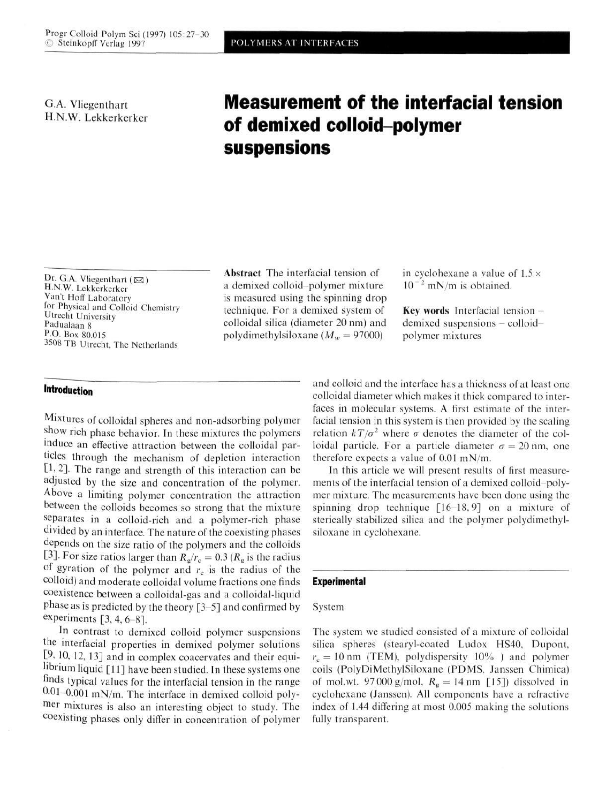G.A. Vliegenthart H.N.W. Lekkerkerker

# **Measurement of the interfacial tension of demixed colloid-polymer suspensions**

Dr. G.A. Vliegenthart ( $\boxtimes$ ) H.N.W. Lekkerkerker Van't Hoff Laboratory for Physical and Colloid Chemistry Utrecht University Padualaan 8 P.O. Box 80.015 3508 TB Utrecht. The Netherlands

## **Introduction**

Mixtures of colloidal spheres and non-adsorbing polymer show rich phase behavior. In these mixtures the polymers induce an effective attraction between the colloidal particles through the mechanism of depletion interaction [1,2]. The range and strength of this interaction can be adjusted by the size and concentration of the polymer. Above a limiting polymer concentration the attraction between the colloids becomes so strong that the mixture separates in a colloid-rich and a polymer-rich phase divided by an interface. The nature of the coexisting phases depends on the size ratio of the polymers and the colloids [3]. For size ratios larger than  $R_g/r_c = 0.3 (R_g \text{ is the radius})$ of gyration of the polymer and *rc* is the radius of the colloid) and moderate colloidal volume fractions one finds coexistence between a colloidal-gas and a colloidal-liquid phase as is predicted by the theory [3-5] and confirmed by experiments  $[3, 4, 6-8]$ .

In contrast to demixed colloid polymer suspensions the interfacial properties in demixed polymer solutions [9, 10, 12, 13] and in complex coacervates and their equilibrium liquid [11] have been studied. In these systems one finds typical values for the interfacial tension in the range  $0.01-0.001$  mN/m. The interface in demixed colloid polym er mixtures is also an interesting object to study. The coexisting phases only differ in concentration of polymer

Abstract The interfacial tension of a demixed colloid-polymer mixture is measured using the spinning drop technique. For a demixed system of colloidal silica (diameter 20 nm) and polydimethylsiloxane  $(M<sub>w</sub> = 97000)$ 

in cyclohexane a value of  $1.5 \times$  $10^{-2}$  mN/m is obtained.

Key words Interfacial tension  $$ demixed suspensions - colloidpolymer mixtures

and colloid and the interface has a thickness of at least one colloidal diameter which makes it thick compared to interfaces in molecular systems. A first estimate of the interfacial tension in this system is then provided by the scaling relation  $kT/\sigma^2$  where  $\sigma$  denotes the diameter of the colloidal particle. For a particle diameter  $\sigma = 20$  nm, one therefore expects a value of  $0.01$  mN/m.

In this article we will present results of first measurements of the interfacial tension of a demixed colloid-polymer mixture. The measurements have been done using the spinning drop technique [16-18,9] on a mixture of sterically stabilized silica and the polymer polydimethylsiloxane in cyclohexane.

### **Experimental**

#### System

The system we studied consisted of a mixture of colloidal silica spheres (stearyl-coated Ludox HS40, Dupont,  $r_c = 10$  nm (TEM), polydispersity 10%) and polymer coils (PolyDiMethylSiloxane (PDMS. Janssen Chimica) of mol.wt. 97000 g/mol.  $R_g = 14$  nm [15]) dissolved in cyclohexane (Janssen). All components have a refractive index of 1.44 differing at most 0.005 making the solutions fully transparent.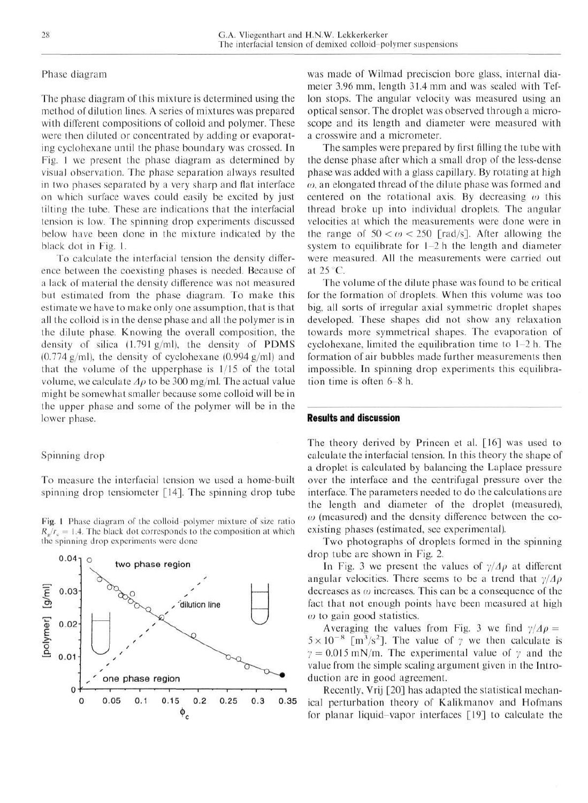#### Phase diagram

The phase diagram of this mixture is determined using the method of dilution lines. A series of mixtures was prepared with different compositions of colloid and polymer. These were then diluted or concentrated by adding or evaporating cyclohexane until the phase boundary was crossed. In Fig. 1 we present the phase diagram as determined by visual observation. The phase separation always resulted in two phases separated by a very sharp and flat interface on which surface waves could easily be excited by just tilting the tube. These are indications that the interfacial tension is low. The spinning drop experiments discussed below have been done in the mixture indicated by the black dot in Fig. 1.

To calculate the interfacial tension the density difference between the coexisting phases is needed. Because of a lack of material the density difference was not measured but estimated from the phase diagram. To make this estimate we have to make only one assumption, that is that all the colloid is in the dense phase and all the polymer is in the dilute phase. Knowing the overall composition, the density of silica (1.791 g/ml), the density of PDMS  $(0.774 \text{ g/ml})$ , the density of cyclohexane  $(0.994 \text{ g/ml})$  and that the volume of the uppcrphase is 1/15 of the total volume, we calculate  $\Delta \rho$  to be 300 mg/ml. The actual value might be somewhat smaller because some colloid will be in the upper phase and some of the polymer will be in the lower phase.

## Spinning drop

To measure the interfacial tension we used a home-built spinning drop tensiometer [14]. The spinning drop tube

Fig. 1 Phase diagram of the colloid-polymer mixture of size ratio  $R_e/r_c = 1.4$ . The black dot corresponds to the composition at which the spinning drop experiments were done



was made of Wilmad preciscion bore glass, internal diameter 3.96 mm, length 31.4 mm and was sealed with Teflon stops. The angular velocity was measured using an optical sensor. The droplet was observed through a microscope and its length and diameter were measured with a crosswire and a micrometer.

The samples were prepared by first filling the tube with the dense phase after which a small drop of the less-dense phase was added with a glass capillary. By rotating at high *a),* an elongated thread of the dilute phase was formed and centered on the rotational axis. By decreasing  $\omega$  this thread broke up into individual droplets. The angular velocities at which the measurements were done were in the range of  $50 < \omega < 250$  [rad/s]. After allowing the system to equilibrate for 1-2 h the length and diameter were measured. All the measurements were carried out at 25 C.

The volume of the dilute phase was found to be critical for the formation of droplets. When this volume was too big, all sorts of irregular axial symmetric droplet shapes developed. These shapes did not show any relaxation towards more symmetrical shapes. The evaporation of cyclohexane, limited the equilibration time to 1-2 h. The formation of air bubbles made further measurements then impossible. In spinning drop experiments this equilibration time is often  $6 - 8$  h.

## **Results and discussion**

The theory derived by Princen et al. [16] was used to calculate the interfacial tension. In this theory the shape of a droplet is calculated by balancing the Laplace pressure over the interface and the centrifugal pressure over the interface. The parameters needed to do the calculations are the length and diameter of the droplet (measured),  $\omega$  (measured) and the density difference between the coexisting phases (estimated, see experimental).

Two photographs of droplets formed in the spinning drop tube are shown in Fig. 2.

In Fig. 3 we present the values of  $\gamma/\Delta\rho$  at different angular velocities. There seems to be a trend that *y/Ap* decreases as  $\omega$  increases. This can be a consequence of the fact that not enough points have been measured at high  $\omega$  to gain good statistics.

Averaging the values from Fig. 3 we find  $\gamma/\Delta \rho =$  $5 \times 10^{-8}$  [m<sup>3</sup>/s<sup>2</sup>]. The value of  $\gamma$  we then calculate is  $\gamma = 0.015$  mN/m. The experimental value of  $\gamma$  and the value from the simple scaling argument given in the Introduction are in good agreement.

Recently, Vrij [20] has adapted the statistical mechanical perturbation theory of Kalikmanov and Hofmans for planar liquid-vapor interfaces [19] to calculate the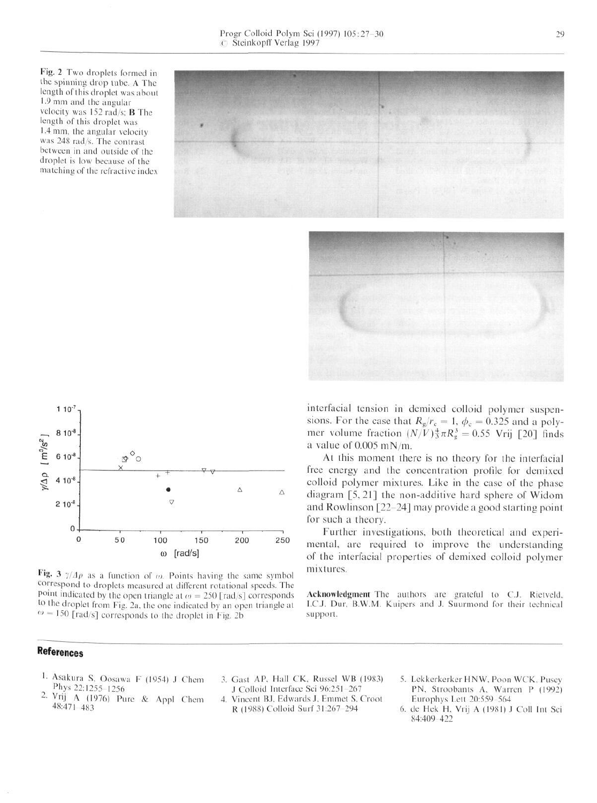Fig. 2 Two droplets formed in the spinning drop tube. A The length of this droplet was about 1.9mm and the angular velocity was 152 rad/s; B The length of this droplet was 1.4 mm, the angular velocity was 248 rad/s. The contrast between in and outside of the droplet is low because of the matching of the refractive index





Fig. 3  $\gamma/\Delta\rho$  as a function of  $\omega$ . Points having the same symbol correspond to droplets measured at different rotational speeds. The point indicated by the open triangle at  $\omega = 250$  [rad/s] corresponds to the droplet from Fig. 2a, the one indicated by an open triangle at  $w = 150$  [rad/s] corresponds to the droplet in Fig. 2b

# interfacial tension in demixed colloid polymer suspensions. For the case that  $R_g/r_c = 1$ ,  $\phi_c = 0.325$  and a polymer volume fraction  $(N/V)^{\frac{4}{3}} \pi R_{\rm g}^3 = 0.55$  Vrij [20] finds a value of 0.005 mN/m.

At this moment there is no theory for the interfacial free energy and the concentration profile for demixed colloid polymer mixtures. Like in the case of the phase diagram [5, 21] the non-additive hard sphere of Widom and Rowlinson [22-24] may provide a good starting point for such a theory.

Further investigations, both theoretical and experimental, are required to improve the understanding of the interfacial properties of demixed colloid polymer mixtures.

Acknowledgment The authors are grateful to C.J. Rietveld, I.C.J. Dur, B.W.M. Kuipers and J. Suurmond for their technical support.

# **References**

- 1. Asakura S, Oosawa F (1954) J Chem Phys 22:1255-1256
- 2 <sup>v</sup>rij A (1976) Pure & Appl Chem 48:471 483
- 3. Gast AP, Hall CK, Russel WB (1983) J Colloid Interface Sei 96:251 267 4. Vincent BJ, Edwards J, Emmet S, Croot
- R (1988) Colloid Surf 31:267 294
- 5. Lekkerkerker HNW, Poon WCK, Pusey PN, Stroobants A, Warren P (1992) Europhys Lett 20:559 564
- 6. de Hek H, Vrij A (1981) J Coll Int Sci 84:409 422